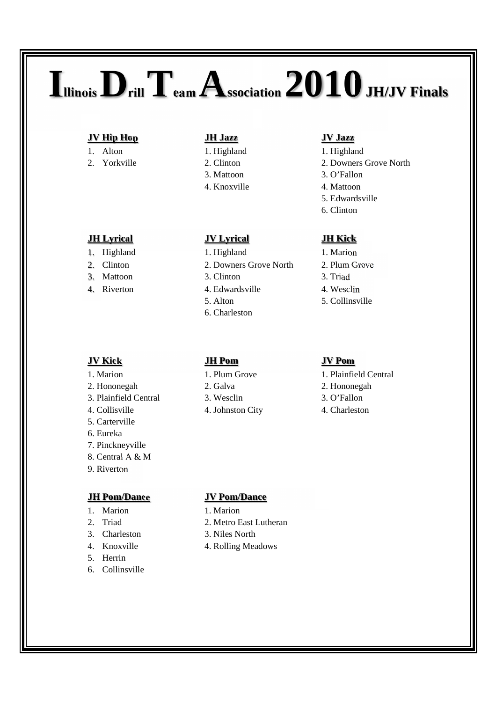# **IllinoisDrillTeam Association 2010JH/JV Finals**

## **JV Hip Hop JH Jazz JV Jazz**

- 
- 

- 
- 
- 3. Mattoon 3. Clinton 3. Triad
- 4. Riverton 4. Edwardsville 4. Wesclin

## **JV Kick JH Pom JV Pom**

- 
- 
- 3. Plainfield Central 3. Wesclin 3. O'Fallon
- 
- 5. Carterville
- 6. Eureka
- 7. Pinckneyville
- 8. Central A & M
- 9. Riverton

## **JH Pom/Dance JV Pom/Dance**

- 1. Marion 1. Marion
- 
- 
- 
- 5. Herrin
- 6. Collinsville

- 
- 
- 
- 

## **JH Lyrical JV Lyrical JH Kick**

- 1. Highland 1. Highland 1. Marion
- 2. Clinton 2. Downers Grove North 2. Plum Grove
	-
	-
	-
	- 6. Charleston

- 
- 
- 
- 4. Collisville 4. Johnston City 4. Charleston

- 1. Alton 1. Highland 1. Highland 1. Highland
- 2. Yorkville 2. Clinton 2. Downers Grove North
	- 3. Mattoon 3. O'Fallon
	- 4. Knoxville 4. Mattoon
		- 5. Edwardsville
		- 6. Clinton

- 
- 
- 
- 
- 5. Alton 5. Collinsville

- 1. Marion 1. Plum Grove 1. Plainfield Central
- 2. Hononegah 2. Galva 2. Galva 2. Hononegah
	-
	-

- 
- 2. Triad 2. Metro East Lutheran
- 3. Charleston 3. Niles North
- 4. Knoxville 4. Rolling Meadows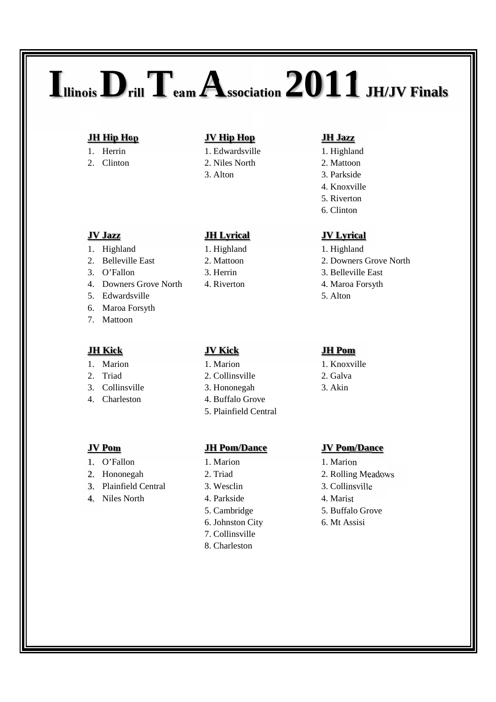# **IllinoisDrillTeam Association 2011JH/JV Finals**

- 
- 

## **JH Hip Hop JV Hip Hop JH Jazz**

- 1. Herrin 1. Edwardsville 1. Highland
	-
	-

- 1. Highland 1. Highland 1. Highland 1. Highland
- 
- 
- 4. Downers Grove North 4. Riverton 4. Maroa Forsyth
- 5. Edwardsville 5. Alton
- 6. Maroa Forsyth
- 7. Mattoon

- 
- 
- 
- 

- 1. O'Fallon 1. Marion 1. Marion 1. Marion
- 
- 3. Plainfield Central 3. Wesclin 3. Collinsville
- 4. Niles North 4. Parkside 4. Marist

- 
- 
- 
- 

- 
- 2. Triad 2. Collinsville 2. Galva
- 3. Collinsville 3. Hononegah 3. Akin
- 4. Charleston 4. Buffalo Grove
	- 5. Plainfield Central

### **JV Pom JH Pom/Dance JV Pom/Dance**

- 
- 
- 
- 
- 
- 6. Johnston City 6. Mt Assisi
- 7. Collinsville
- 8. Charleston

- 
- 2. Clinton 2. Niles North 2. Mattoon
	- 3. Alton 3. Parkside
		- 4. Knoxville
		- 5. Riverton
		- 6. Clinton

### **JV Jazz JH Lyrical JV Lyrical**

- 
- 2. Belleville East 2. Mattoon 2. Downers Grove North
- 3. O'Fallon 3. Herrin 3. Belleville East
	-
	-

## **JH Kick JV Kick JH Pom**

- 1. Marion 1. Marion 1. Knoxville
	-
	-

- 
- 2. Hononegah 2. Triad 2. Rolling Meadows
	-
	-
	- 5. Cambridge 5. Buffalo Grove
		-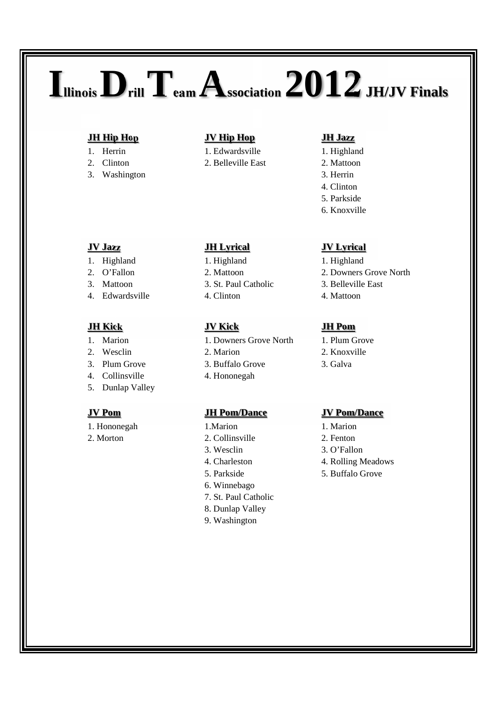# **IllinoisDrillTeam Association 2012JH/JV Finals**

- 
- 
- 3. Washington 3. Herrin

- 1. Highland 1. Highland 1. Highland 1. Highland
- 
- 
- 4. Edwardsville 4. Clinton 4. Alexander 4. Mattoon

- 
- 
- 
- 4. Collinsville 4. Hononegah
- 5. Dunlap Valley

- 1. Hononegah 1. Marion 1. Marion 1. Marion
- 

- 
- 2. Clinton 2. Belleville East 2. Mattoon

- 
- 
- 
- 
- 1. Marion 1. Downers Grove North 1. Plum Grove
	-
- 3. Plum Grove 3. Buffalo Grove 3. Galva
	-

- 
- 2. Morton 2. Collinsville 2. Fenton
	-
	-
	-
	- 6. Winnebago
	- 7. St. Paul Catholic
	- 8. Dunlap Valley
	- 9. Washington

- 
- 
- 
- 4. Clinton
- 5. Parkside
- 6. Knoxville

## **JV Jazz JH Lyrical JV Lyrical**

- 
- 2. O'Fallon 2. Mattoon 2. Downers Grove North
- 3. Mattoon 3. St. Paul Catholic 3. Belleville East
	-

- 
- 
- 

## **JV Pom JH Pom/Dance JV Pom/Dance**

- 
- 
- 3. Wesclin 3. O'Fallon
- 4. Charleston 4. Rolling Meadows
- 5. Parkside 5. Buffalo Grove
- **JH Kick JV Kick JH Pom**
- 2. Wesclin 2. Marion 2. Knoxville
	-
	-
	-

## **JH Hip Hop JV Hip Hop JH Jazz**

1. Herrin 1. Edwardsville 1. Highland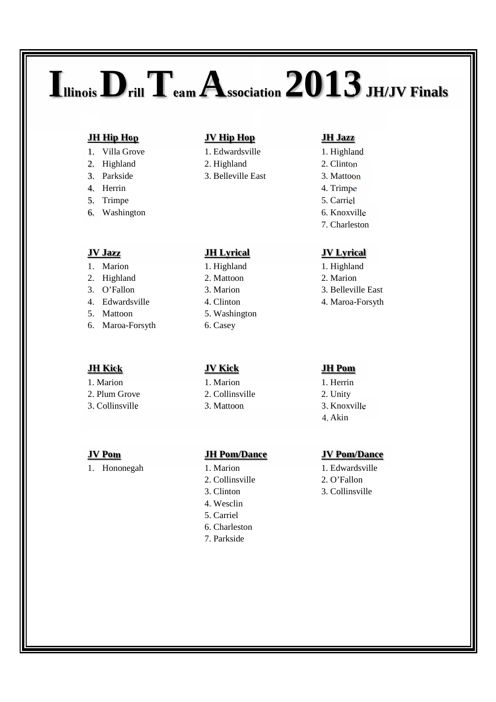## **IllinoisDrillTeam Association 2013JH/JV Finals**

- 
- 
- 
- 4. Herrin 4. Trimpe
- 5. Trimpe 5. Carriel
- 6. Washington 6. Knoxville

- 
- 2. Highland 2. Mattoon 2. Marion
- 
- 
- 
- 6. Maroa-Forsyth 6. Casey

## **JH Kick JV Kick JH Pom**

- 
- 
- 

## **JH Hip Hop JV Hip Hop JH Jazz**

- 1. Villa Grove 1. Edwardsville 1. Highland
- 2. Highland 2. Highland 2. Clinton
- 3. Parkside 3. Belleville East 3. Mattoon

## **JV Jazz JH Lyrical JV Lyrical**

- 1. Marion 1. Highland 1. Highland 1. Highland
	-
	-
	-
- 5. Mattoon 5. Washington
	-

1. Marion 1. Marion 1. Herrin 2. Plum Grove 2. Collinsville 2. Unity 3. Collinsville 3. Mattoon 3. Knoxville

## **JV Pom JH Pom/Dance JV Pom/Dance**

- 
- 2. Collinsville 2. O'Fallon
- 
- 4. Wesclin
- 5. Carriel
- 6. Charleston
- 7. Parkside

- 
- 
- 
- 
- 
- 
- 7. Charleston

- 
- 
- 3. O'Fallon 3. Marion 3. Belleville East
- 4. Edwardsville 4. Clinton 4. Maroa-Forsyth

- 
- 
- 
- 4. Akin

- 1. Hononegah 1. Marion 1. Edwardsville
	-
	- 3. Clinton 3. Collinsville